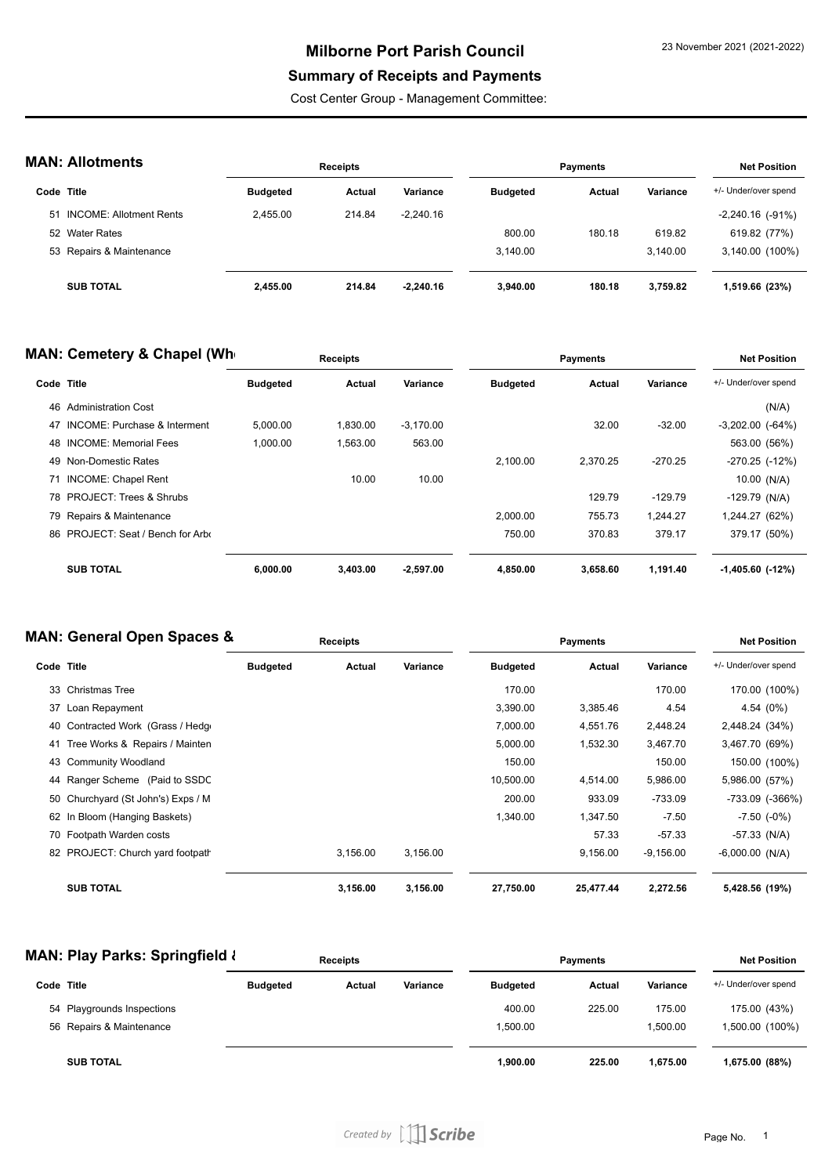## **Milborne Port Parish Council**

## **Summary of Receipts and Payments**

Cost Center Group - Management Committee:

|  | <b>MAN: Allotments</b> |  |
|--|------------------------|--|
|--|------------------------|--|

| IAN: Allotments |                            | <b>Receipts</b> |        |             | <b>Payments</b> |        |          | <b>Net Position</b>   |  |
|-----------------|----------------------------|-----------------|--------|-------------|-----------------|--------|----------|-----------------------|--|
|                 | Code Title                 | <b>Budgeted</b> | Actual | Variance    | <b>Budgeted</b> | Actual | Variance | +/- Under/over spend  |  |
|                 | 51 INCOME: Allotment Rents | 2.455.00        | 214.84 | $-2.240.16$ |                 |        |          | $-2,240.16$ $(-91\%)$ |  |
|                 | 52 Water Rates             |                 |        |             | 800.00          | 180.18 | 619.82   | 619.82 (77%)          |  |
|                 | 53 Repairs & Maintenance   |                 |        |             | 3.140.00        |        | 3.140.00 | 3,140.00 (100%)       |  |
|                 | <b>SUB TOTAL</b>           | 2,455.00        | 214.84 | $-2.240.16$ | 3.940.00        | 180.18 | 3.759.82 | 1,519.66 (23%)        |  |

|            | <b>MAN: Cemetery &amp; Chapel (Wh</b>   |                 | <b>Receipts</b> |             |                 | <b>Payments</b> |           | <b>Net Position</b>  |
|------------|-----------------------------------------|-----------------|-----------------|-------------|-----------------|-----------------|-----------|----------------------|
| Code Title |                                         | <b>Budgeted</b> | Actual          | Variance    | <b>Budgeted</b> | Actual          | Variance  | +/- Under/over spend |
| 46         | <b>Administration Cost</b>              |                 |                 |             |                 |                 |           | (N/A)                |
| 47         | <b>INCOME: Purchase &amp; Interment</b> | 5,000.00        | 1,830.00        | $-3,170.00$ |                 | 32.00           | $-32.00$  | $-3,202.00$ $(-64%)$ |
|            | 48 INCOME: Memorial Fees                | 1.000.00        | 1.563.00        | 563.00      |                 |                 |           | 563.00 (56%)         |
|            | 49 Non-Domestic Rates                   |                 |                 |             | 2,100.00        | 2.370.25        | $-270.25$ | -270.25 (-12%)       |
|            | 71 INCOME: Chapel Rent                  |                 | 10.00           | 10.00       |                 |                 |           | $10.00$ (N/A)        |
|            | 78 PROJECT: Trees & Shrubs              |                 |                 |             |                 | 129.79          | $-129.79$ | $-129.79$ (N/A)      |
|            | 79 Repairs & Maintenance                |                 |                 |             | 2.000.00        | 755.73          | 1.244.27  | 1,244.27 (62%)       |
|            | 86 PROJECT: Seat / Bench for Arbo       |                 |                 |             | 750.00          | 370.83          | 379.17    | 379.17 (50%)         |
|            | <b>SUB TOTAL</b>                        | 6.000.00        | 3.403.00        | $-2.597.00$ | 4,850.00        | 3.658.60        | 1.191.40  | $-1,405.60$ $(-12%)$ |

### **MAN: General Open Spaces &**

| IAN: General Open Spaces & |                                    | <b>Receipts</b> |          |          | <b>Payments</b> |           |             | <b>Net Position</b>  |  |
|----------------------------|------------------------------------|-----------------|----------|----------|-----------------|-----------|-------------|----------------------|--|
| Code Title                 |                                    | <b>Budgeted</b> | Actual   | Variance | <b>Budgeted</b> | Actual    | Variance    | +/- Under/over spend |  |
|                            | 33 Christmas Tree                  |                 |          |          | 170.00          |           | 170.00      | 170.00 (100%)        |  |
|                            | 37 Loan Repayment                  |                 |          |          | 3,390.00        | 3,385.46  | 4.54        | 4.54 (0%)            |  |
|                            | 40 Contracted Work (Grass / Hedge  |                 |          |          | 7,000.00        | 4,551.76  | 2,448.24    | 2,448.24 (34%)       |  |
|                            | 41 Tree Works & Repairs / Mainten  |                 |          |          | 5,000.00        | 1,532.30  | 3,467.70    | 3,467.70 (69%)       |  |
|                            | 43 Community Woodland              |                 |          |          | 150.00          |           | 150.00      | 150.00 (100%)        |  |
|                            | 44 Ranger Scheme (Paid to SSDC     |                 |          |          | 10,500.00       | 4,514.00  | 5,986.00    | 5,986.00 (57%)       |  |
|                            | 50 Churchyard (St John's) Exps / M |                 |          |          | 200.00          | 933.09    | $-733.09$   | -733.09 (-366%)      |  |
|                            | 62 In Bloom (Hanging Baskets)      |                 |          |          | 1,340.00        | 1,347.50  | $-7.50$     | $-7.50$ $(-0\%)$     |  |
|                            | 70 Footpath Warden costs           |                 |          |          |                 | 57.33     | $-57.33$    | $-57.33$ (N/A)       |  |
|                            | 82 PROJECT: Church yard footpath   |                 | 3,156.00 | 3,156.00 |                 | 9,156.00  | $-9,156.00$ | $-6,000.00$ (N/A)    |  |
|                            | <b>SUB TOTAL</b>                   |                 | 3,156.00 | 3,156.00 | 27,750.00       | 25,477.44 | 2,272.56    | 5,428.56 (19%)       |  |

#### **MAN: Play Parks: Springfield & Receipts**

|            | MAN: Play Parks: Springfield { | <b>Receipts</b> |        |          | <b>Payments</b> |        |          | <b>Net Position</b>  |  |
|------------|--------------------------------|-----------------|--------|----------|-----------------|--------|----------|----------------------|--|
| Code Title |                                | <b>Budgeted</b> | Actual | Variance | <b>Budgeted</b> | Actual | Variance | +/- Under/over spend |  |
|            | 54 Playgrounds Inspections     |                 |        |          | 400.00          | 225.00 | 175.00   | 175.00 (43%)         |  |
|            | 56 Repairs & Maintenance       |                 |        |          | 1.500.00        |        | 1.500.00 | 1,500.00 (100%)      |  |
|            | <b>SUB TOTAL</b>               |                 |        |          | 1,900.00        | 225.00 | 1.675.00 | 1,675.00 (88%)       |  |